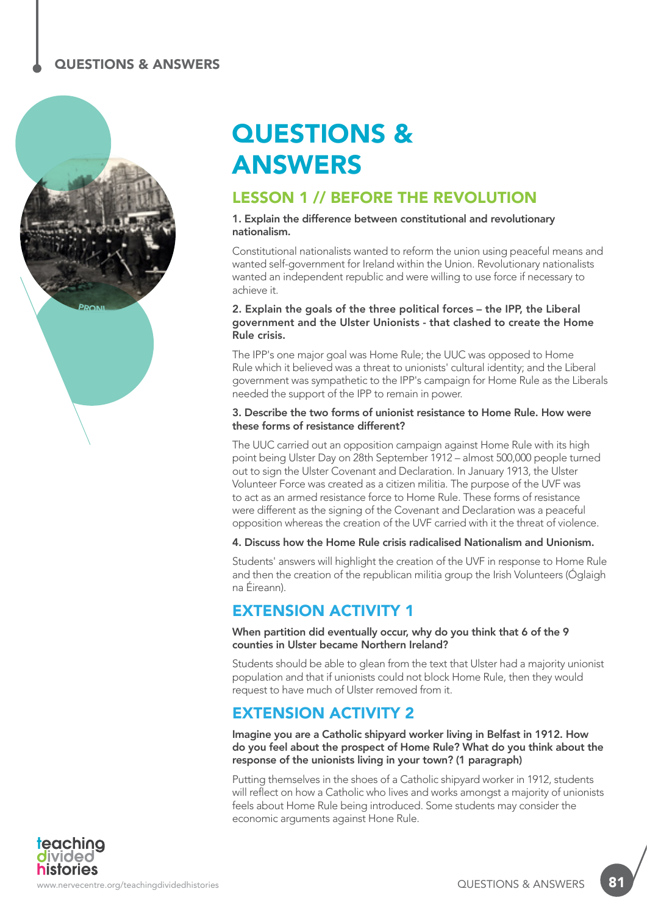

# QUESTIONS & ANSWERS

### LESSON 1 // BEFORE THE REVOLUTION

#### 1. Explain the difference between constitutional and revolutionary nationalism.

Constitutional nationalists wanted to reform the union using peaceful means and wanted self-government for Ireland within the Union. Revolutionary nationalists wanted an independent republic and were willing to use force if necessary to achieve it.

#### 2. Explain the goals of the three political forces – the IPP, the Liberal government and the Ulster Unionists - that clashed to create the Home Rule crisis.

The IPP's one major goal was Home Rule; the UUC was opposed to Home Rule which it believed was a threat to unionists' cultural identity; and the Liberal government was sympathetic to the IPP's campaign for Home Rule as the Liberals needed the support of the IPP to remain in power.

#### 3. Describe the two forms of unionist resistance to Home Rule. How were these forms of resistance different?

The UUC carried out an opposition campaign against Home Rule with its high point being Ulster Day on 28th September 1912 – almost 500,000 people turned out to sign the Ulster Covenant and Declaration. In January 1913, the Ulster Volunteer Force was created as a citizen militia. The purpose of the UVF was to act as an armed resistance force to Home Rule. These forms of resistance were different as the signing of the Covenant and Declaration was a peaceful opposition whereas the creation of the UVF carried with it the threat of violence.

#### 4. Discuss how the Home Rule crisis radicalised Nationalism and Unionism.

Students' answers will highlight the creation of the UVF in response to Home Rule and then the creation of the republican militia group the Irish Volunteers (Óglaigh na Éireann).

### EXTENSION ACTIVITY 1

When partition did eventually occur, why do you think that 6 of the 9 counties in Ulster became Northern Ireland?

Students should be able to glean from the text that Ulster had a majority unionist population and that if unionists could not block Home Rule, then they would request to have much of Ulster removed from it.

### EXTENSION ACTIVITY 2

Imagine you are a Catholic shipyard worker living in Belfast in 1912. How do you feel about the prospect of Home Rule? What do you think about the response of the unionists living in your town? (1 paragraph)

Putting themselves in the shoes of a Catholic shipyard worker in 1912, students will reflect on how a Catholic who lives and works amongst a majority of unionists feels about Home Rule being introduced. Some students may consider the economic arguments against Hone Rule.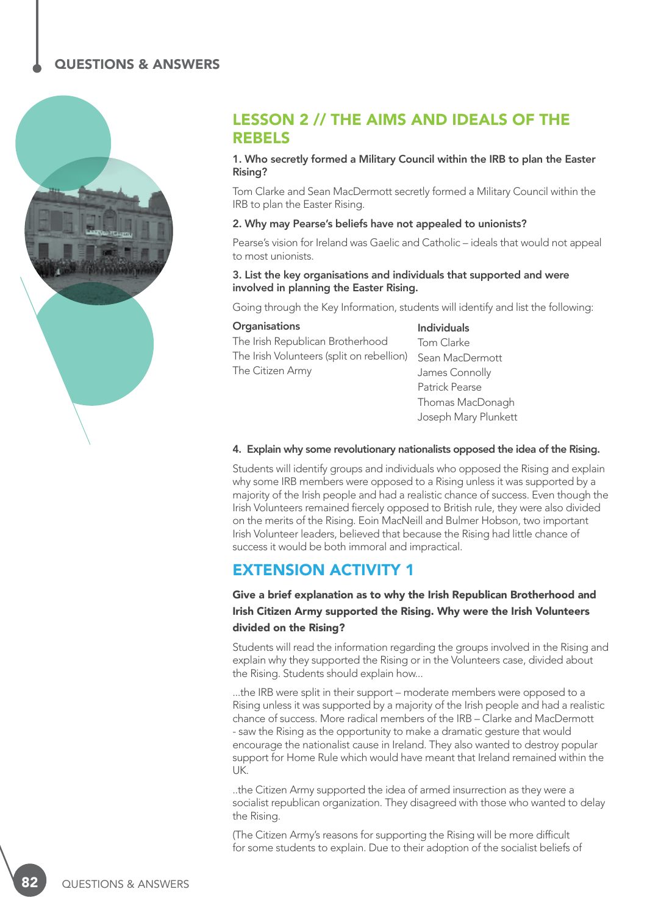

### LESSON 2 // THE AIMS AND IDEALS OF THE REBELS

#### 1. Who secretly formed a Military Council within the IRB to plan the Easter Rising?

Tom Clarke and Sean MacDermott secretly formed a Military Council within the IRB to plan the Easter Rising.

#### 2. Why may Pearse's beliefs have not appealed to unionists?

Pearse's vision for Ireland was Gaelic and Catholic – ideals that would not appeal to most unionists.

#### 3. List the key organisations and individuals that supported and were involved in planning the Easter Rising.

Going through the Key Information, students will identify and list the following:

#### **Organisations**

The Irish Republican Brotherhood The Irish Volunteers (split on rebellion) The Citizen Army

Individuals Tom Clarke Sean MacDermott James Connolly Patrick Pearse Thomas MacDonagh Joseph Mary Plunkett

#### 4. Explain why some revolutionary nationalists opposed the idea of the Rising.

Students will identify groups and individuals who opposed the Rising and explain why some IRB members were opposed to a Rising unless it was supported by a majority of the Irish people and had a realistic chance of success. Even though the Irish Volunteers remained fiercely opposed to British rule, they were also divided on the merits of the Rising. Eoin MacNeill and Bulmer Hobson, two important Irish Volunteer leaders, believed that because the Rising had little chance of success it would be both immoral and impractical.

### EXTENSION ACTIVITY 1

### Give a brief explanation as to why the Irish Republican Brotherhood and Irish Citizen Army supported the Rising. Why were the Irish Volunteers divided on the Rising?

Students will read the information regarding the groups involved in the Rising and explain why they supported the Rising or in the Volunteers case, divided about the Rising. Students should explain how...

...the IRB were split in their support – moderate members were opposed to a Rising unless it was supported by a majority of the Irish people and had a realistic chance of success. More radical members of the IRB – Clarke and MacDermott - saw the Rising as the opportunity to make a dramatic gesture that would encourage the nationalist cause in Ireland. They also wanted to destroy popular support for Home Rule which would have meant that Ireland remained within the UK.

..the Citizen Army supported the idea of armed insurrection as they were a socialist republican organization. They disagreed with those who wanted to delay the Rising.

(The Citizen Army's reasons for supporting the Rising will be more difficult for some students to explain. Due to their adoption of the socialist beliefs of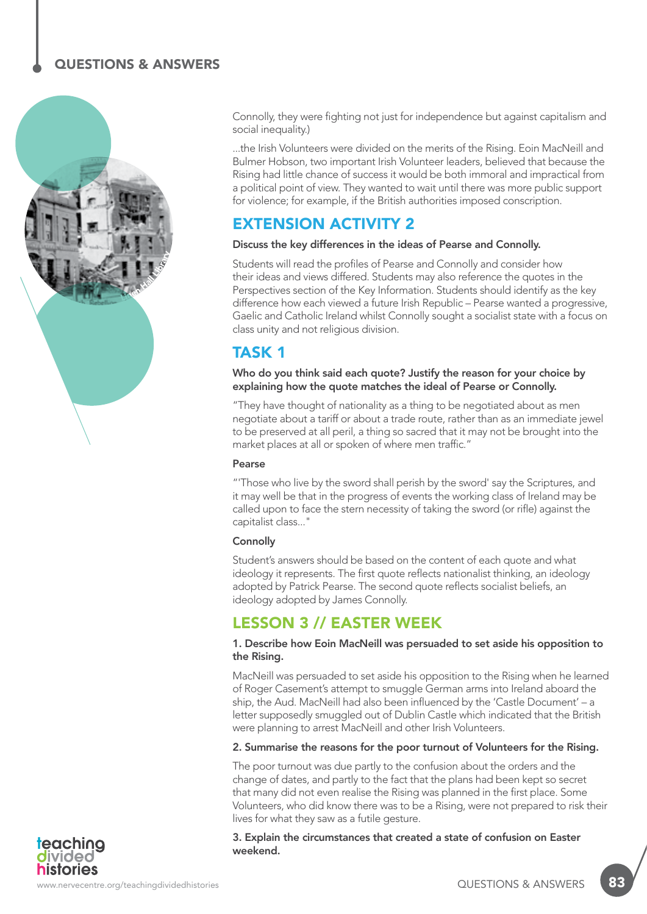

Connolly, they were fighting not just for independence but against capitalism and social inequality.)

...the Irish Volunteers were divided on the merits of the Rising. Eoin MacNeill and Bulmer Hobson, two important Irish Volunteer leaders, believed that because the Rising had little chance of success it would be both immoral and impractical from a political point of view. They wanted to wait until there was more public support for violence; for example, if the British authorities imposed conscription.

### EXTENSION ACTIVITY 2

#### Discuss the key differences in the ideas of Pearse and Connolly.

Students will read the profiles of Pearse and Connolly and consider how their ideas and views differed. Students may also reference the quotes in the Perspectives section of the Key Information. Students should identify as the key difference how each viewed a future Irish Republic – Pearse wanted a progressive, Gaelic and Catholic Ireland whilst Connolly sought a socialist state with a focus on class unity and not religious division.

### TASK 1

Who do you think said each quote? Justify the reason for your choice by explaining how the quote matches the ideal of Pearse or Connolly.

"They have thought of nationality as a thing to be negotiated about as men negotiate about a tariff or about a trade route, rather than as an immediate jewel to be preserved at all peril, a thing so sacred that it may not be brought into the market places at all or spoken of where men traffic."

#### Pearse

"'Those who live by the sword shall perish by the sword' say the Scriptures, and it may well be that in the progress of events the working class of Ireland may be called upon to face the stern necessity of taking the sword (or rifle) against the capitalist class..."

#### **Connolly**

Student's answers should be based on the content of each quote and what ideology it represents. The first quote reflects nationalist thinking, an ideology adopted by Patrick Pearse. The second quote reflects socialist beliefs, an ideology adopted by James Connolly.

### LESSON 3 // EASTER WEEK

#### 1. Describe how Eoin MacNeill was persuaded to set aside his opposition to the Rising.

MacNeill was persuaded to set aside his opposition to the Rising when he learned of Roger Casement's attempt to smuggle German arms into Ireland aboard the ship, the Aud. MacNeill had also been influenced by the 'Castle Document' – a letter supposedly smuggled out of Dublin Castle which indicated that the British were planning to arrest MacNeill and other Irish Volunteers.

#### 2. Summarise the reasons for the poor turnout of Volunteers for the Rising.

The poor turnout was due partly to the confusion about the orders and the change of dates, and partly to the fact that the plans had been kept so secret that many did not even realise the Rising was planned in the first place. Some Volunteers, who did know there was to be a Rising, were not prepared to risk their lives for what they saw as a futile gesture.

3. Explain the circumstances that created a state of confusion on Easter weekend.

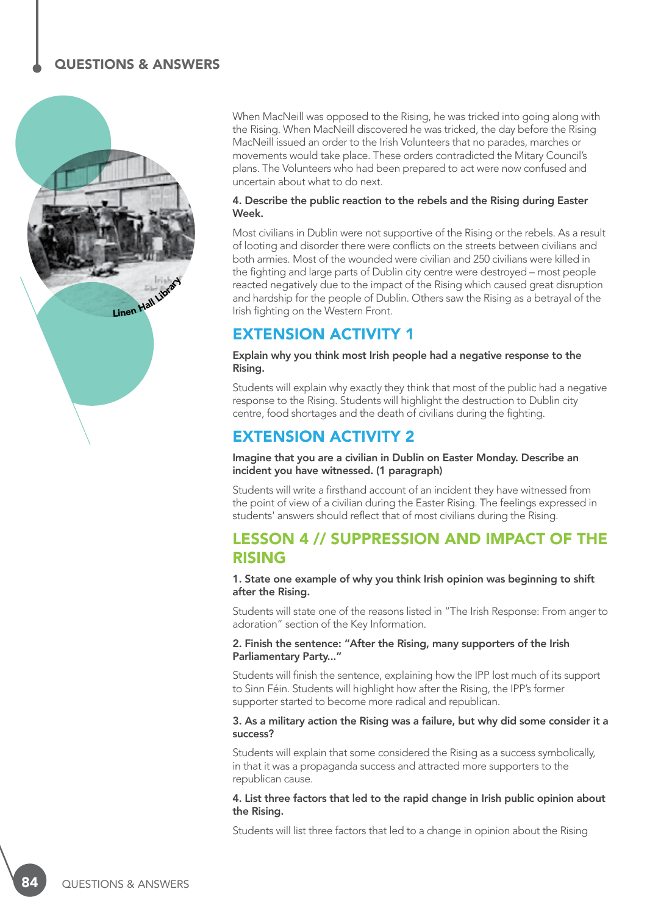

When MacNeill was opposed to the Rising, he was tricked into going along with the Rising. When MacNeill discovered he was tricked, the day before the Rising MacNeill issued an order to the Irish Volunteers that no parades, marches or movements would take place. These orders contradicted the Mitary Council's plans. The Volunteers who had been prepared to act were now confused and uncertain about what to do next.

#### 4. Describe the public reaction to the rebels and the Rising during Easter Week.

Most civilians in Dublin were not supportive of the Rising or the rebels. As a result of looting and disorder there were conflicts on the streets between civilians and both armies. Most of the wounded were civilian and 250 civilians were killed in the fighting and large parts of Dublin city centre were destroyed – most people reacted negatively due to the impact of the Rising which caused great disruption and hardship for the people of Dublin. Others saw the Rising as a betrayal of the Irish fighting on the Western Front.

### EXTENSION ACTIVITY 1

#### Explain why you think most Irish people had a negative response to the Rising.

Students will explain why exactly they think that most of the public had a negative response to the Rising. Students will highlight the destruction to Dublin city centre, food shortages and the death of civilians during the fighting.

### EXTENSION ACTIVITY 2

#### Imagine that you are a civilian in Dublin on Easter Monday. Describe an incident you have witnessed. (1 paragraph)

Students will write a firsthand account of an incident they have witnessed from the point of view of a civilian during the Easter Rising. The feelings expressed in students' answers should reflect that of most civilians during the Rising.

### LESSON 4 // SUPPRESSION AND IMPACT OF THE RISING

#### 1. State one example of why you think Irish opinion was beginning to shift after the Rising.

Students will state one of the reasons listed in "The Irish Response: From anger to adoration" section of the Key Information.

#### 2. Finish the sentence: "After the Rising, many supporters of the Irish Parliamentary Party..."

Students will finish the sentence, explaining how the IPP lost much of its support to Sinn Féin. Students will highlight how after the Rising, the IPP's former supporter started to become more radical and republican.

#### 3. As a military action the Rising was a failure, but why did some consider it a success?

Students will explain that some considered the Rising as a success symbolically, in that it was a propaganda success and attracted more supporters to the republican cause.

#### 4. List three factors that led to the rapid change in Irish public opinion about the Rising.

Students will list three factors that led to a change in opinion about the Rising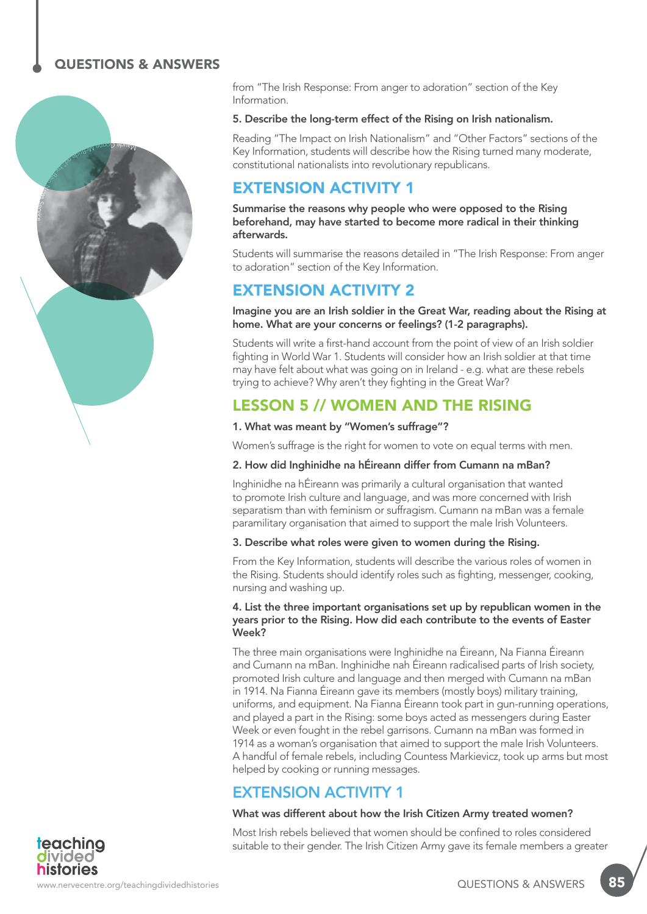

from "The Irish Response: From anger to adoration" section of the Key Information.

#### 5. Describe the long-term effect of the Rising on Irish nationalism.

Reading "The Impact on Irish Nationalism" and "Other Factors" sections of the Key Information, students will describe how the Rising turned many moderate, constitutional nationalists into revolutionary republicans.

### EXTENSION ACTIVITY 1

Summarise the reasons why people who were opposed to the Rising beforehand, may have started to become more radical in their thinking afterwards.

Students will summarise the reasons detailed in "The Irish Response: From anger to adoration" section of the Key Information.

### EXTENSION ACTIVITY 2

Imagine you are an Irish soldier in the Great War, reading about the Rising at home. What are your concerns or feelings? (1-2 paragraphs).

Students will write a first-hand account from the point of view of an Irish soldier fighting in World War 1. Students will consider how an Irish soldier at that time may have felt about what was going on in Ireland - e.g. what are these rebels trying to achieve? Why aren't they fighting in the Great War?

### LESSON 5 // WOMEN AND THE RISING

#### 1. What was meant by "Women's suffrage"?

Women's suffrage is the right for women to vote on equal terms with men.

#### 2. How did Inghinidhe na hÉireann differ from Cumann na mBan?

Inghinidhe na hÉireann was primarily a cultural organisation that wanted to promote Irish culture and language, and was more concerned with Irish separatism than with feminism or suffragism. Cumann na mBan was a female paramilitary organisation that aimed to support the male Irish Volunteers.

#### 3. Describe what roles were given to women during the Rising.

From the Key Information, students will describe the various roles of women in the Rising. Students should identify roles such as fighting, messenger, cooking, nursing and washing up.

#### 4. List the three important organisations set up by republican women in the years prior to the Rising. How did each contribute to the events of Easter Week?

The three main organisations were Inghinidhe na Éireann, Na Fianna Éireann and Cumann na mBan. Inghinidhe nah Éireann radicalised parts of Irish society, promoted Irish culture and language and then merged with Cumann na mBan in 1914. Na Fianna Éireann gave its members (mostly boys) military training, uniforms, and equipment. Na Fianna Éireann took part in gun-running operations, and played a part in the Rising: some boys acted as messengers during Easter Week or even fought in the rebel garrisons. Cumann na mBan was formed in 1914 as a woman's organisation that aimed to support the male Irish Volunteers. A handful of female rebels, including Countess Markievicz, took up arms but most helped by cooking or running messages.

### EXTENSION ACTIVITY 1

#### What was different about how the Irish Citizen Army treated women?

Most Irish rebels believed that women should be confined to roles considered suitable to their gender. The Irish Citizen Army gave its female members a greater

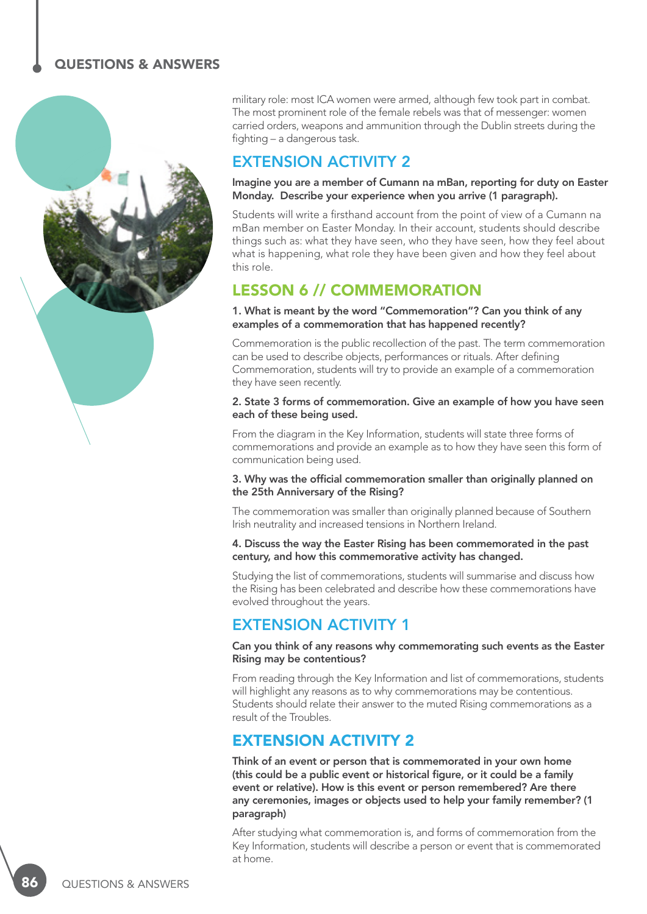

military role: most ICA women were armed, although few took part in combat. The most prominent role of the female rebels was that of messenger: women carried orders, weapons and ammunition through the Dublin streets during the fighting – a dangerous task.

### EXTENSION ACTIVITY 2

#### Imagine you are a member of Cumann na mBan, reporting for duty on Easter Monday. Describe your experience when you arrive (1 paragraph).

Students will write a firsthand account from the point of view of a Cumann na mBan member on Easter Monday. In their account, students should describe things such as: what they have seen, who they have seen, how they feel about what is happening, what role they have been given and how they feel about this role.

### LESSON 6 // COMMEMORATION

1. What is meant by the word "Commemoration"? Can you think of any examples of a commemoration that has happened recently?

Commemoration is the public recollection of the past. The term commemoration can be used to describe objects, performances or rituals. After defining Commemoration, students will try to provide an example of a commemoration they have seen recently.

#### 2. State 3 forms of commemoration. Give an example of how you have seen each of these being used.

From the diagram in the Key Information, students will state three forms of commemorations and provide an example as to how they have seen this form of communication being used.

#### 3. Why was the official commemoration smaller than originally planned on the 25th Anniversary of the Rising?

The commemoration was smaller than originally planned because of Southern Irish neutrality and increased tensions in Northern Ireland.

#### 4. Discuss the way the Easter Rising has been commemorated in the past century, and how this commemorative activity has changed.

Studying the list of commemorations, students will summarise and discuss how the Rising has been celebrated and describe how these commemorations have evolved throughout the years.

### EXTENSION ACTIVITY 1

#### Can you think of any reasons why commemorating such events as the Easter Rising may be contentious?

From reading through the Key Information and list of commemorations, students will highlight any reasons as to why commemorations may be contentious. Students should relate their answer to the muted Rising commemorations as a result of the Troubles.

### EXTENSION ACTIVITY 2

Think of an event or person that is commemorated in your own home (this could be a public event or historical figure, or it could be a family event or relative). How is this event or person remembered? Are there any ceremonies, images or objects used to help your family remember? (1 paragraph)

After studying what commemoration is, and forms of commemoration from the Key Information, students will describe a person or event that is commemorated at home.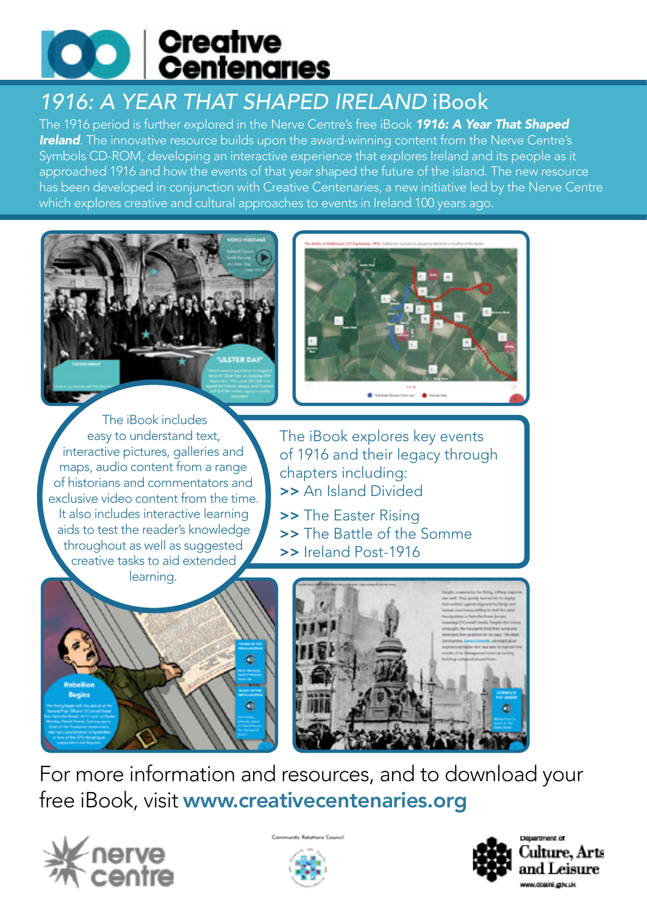

## *1916: A YEAR THAT SHAPED IRELAND* iBook

The 1916 period is further explored in the Nerve Centre's free iBook *1916: A Year That Shaped*  **Ireland**. The innovative resource builds upon the award-winning content from the Nerve Centre's Symbols CD-ROM, developing an interactive experience that explores Ireland and its people as it approached 1916 and how the events of that year shaped the future of the island. The new resource has been developed in conjunction with Creative Centenaries, a new initiative led by the Nerve Centre which explores creative and cultural approaches to events in Ireland 100 years ago.





 The iBook includes easy to understand text, interactive pictures, galleries and maps, audio content from a range of historians and commentators and exclusive video content from the time. It also includes interactive learning aids to test the reader's knowledge throughout as well as suggested creative tasks to aid extended learning.

The iBook explores key events of 1916 and their legacy through chapters including: >> An Island Divided

- >> The Easter Rising
- >> The Battle of the Somme
- >> Ireland Post-1916





For more information and resources, and to download your free iBook, visit www.creativecentenaries.org